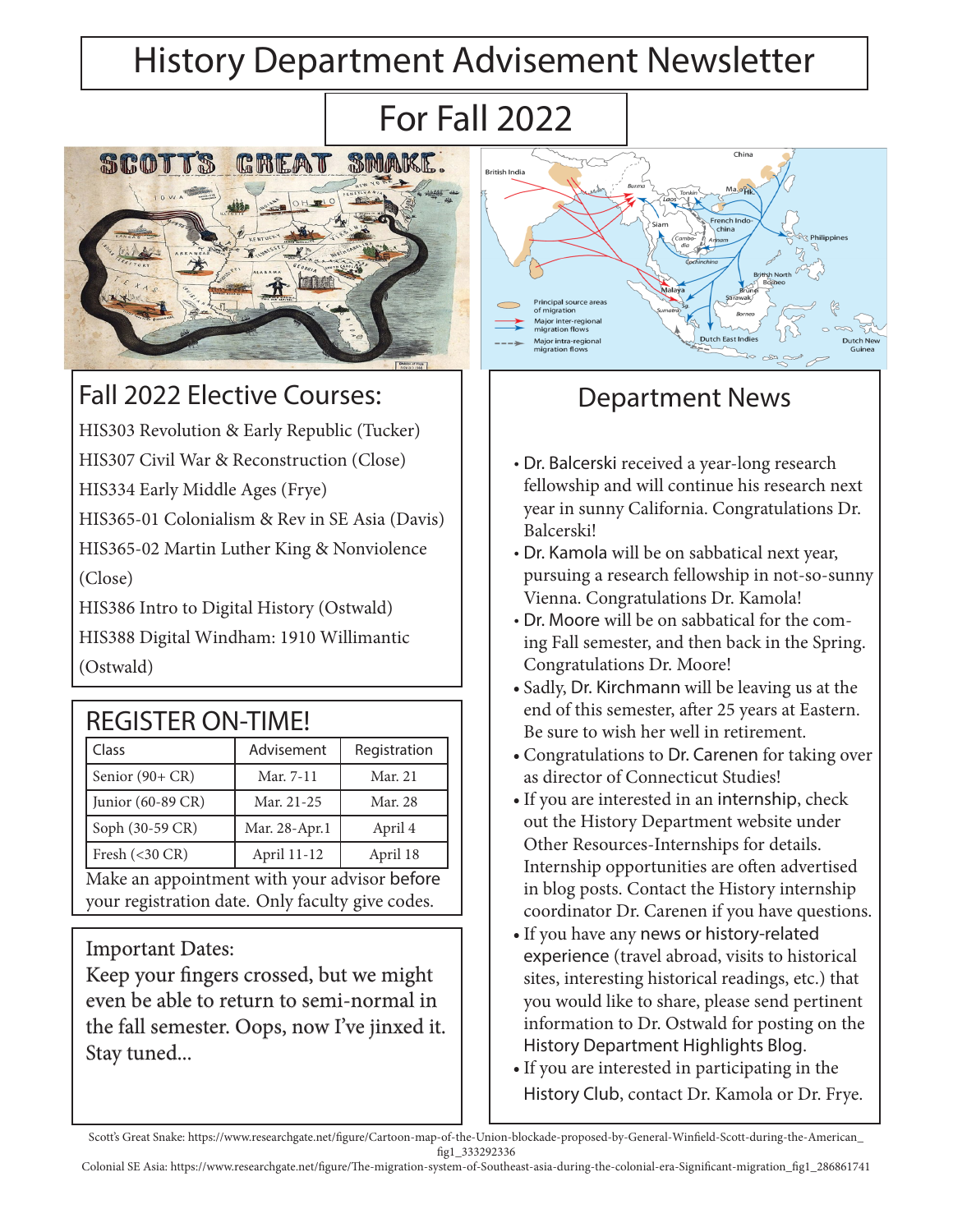# History Department Advisement Newsletter

# For Fall 2022



#### Fall 2022 Elective Courses:

HIS303 Revolution & Early Republic (Tucker)

HIS307 Civil War & Reconstruction (Close)

HIS334 Early Middle Ages (Frye)

HIS365-01 Colonialism & Rev in SE Asia (Davis)

HIS365-02 Martin Luther King & Nonviolence (Close)

HIS386 Intro to Digital History (Ostwald)

HIS388 Digital Windham: 1910 Willimantic (Ostwald)

| <b>REGISTER ON-TIME!</b>                         |               |              |
|--------------------------------------------------|---------------|--------------|
| Class                                            | Advisement    | Registration |
| Senior (90+ CR)                                  | Mar. 7-11     | Mar. 21      |
| Junior (60-89 CR)                                | Mar. 21-25    | Mar. 28      |
| Soph (30-59 CR)                                  | Mar. 28-Apr.1 | April 4      |
| Fresh $(<$ 30 CR)                                | April 11-12   | April 18     |
| Make an appointment with your advisor before     |               |              |
| your registration date. Only faculty give codes. |               |              |

#### Important Dates:

Keep your fingers crossed, but we might even be able to return to semi-normal in the fall semester. Oops, now I've jinxed it. Stay tuned...



### Department News

- Dr. Balcerski received a year-long research fellowship and will continue his research next year in sunny California. Congratulations Dr. Balcerski!
- Dr. Kamola will be on sabbatical next year, pursuing a research fellowship in not-so-sunny Vienna. Congratulations Dr. Kamola!
- Dr. Moore will be on sabbatical for the coming Fall semester, and then back in the Spring. Congratulations Dr. Moore!
- Sadly, Dr. Kirchmann will be leaving us at the end of this semester, after 25 years at Eastern. Be sure to wish her well in retirement.
- Congratulations to Dr. Carenen for taking over as director of Connecticut Studies!
- •If you are interested in an internship, check out the History Department website under Other Resources-Internships for details. Internship opportunities are often advertised in blog posts. Contact the History internship coordinator Dr. Carenen if you have questions.
- •If you have any news or history-related experience (travel abroad, visits to historical sites, interesting historical readings, etc.) that you would like to share, please send pertinent information to Dr. Ostwald for posting on the History Department Highlights Blog.
- •If you are interested in participating in the History Club, contact Dr. Kamola or Dr. Frye.

Scott's Great Snake: https://www.researchgate.net/figure/Cartoon-map-of-the-Union-blockade-proposed-by-General-Winfield-Scott-during-the-American\_ fig1\_333292336

Colonial SE Asia: https://www.researchgate.net/figure/The-migration-system-of-Southeast-asia-during-the-colonial-era-Significant-migration\_fig1\_286861741